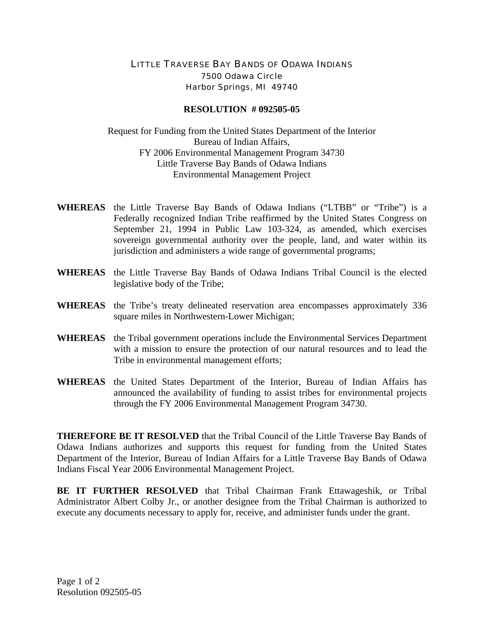## LITTLE TRAVERSE BAY BANDS OF ODAWA INDIANS 7500 Odawa Circle Harbor Springs, MI 49740

## **RESOLUTION # 092505-05**

Request for Funding from the United States Department of the Interior Bureau of Indian Affairs, FY 2006 Environmental Management Program 34730 Little Traverse Bay Bands of Odawa Indians Environmental Management Project

- **WHEREAS** the Little Traverse Bay Bands of Odawa Indians ("LTBB" or "Tribe") is a Federally recognized Indian Tribe reaffirmed by the United States Congress on September 21, 1994 in Public Law 103-324, as amended, which exercises sovereign governmental authority over the people, land, and water within its jurisdiction and administers a wide range of governmental programs;
- **WHEREAS** the Little Traverse Bay Bands of Odawa Indians Tribal Council is the elected legislative body of the Tribe;
- **WHEREAS** the Tribe's treaty delineated reservation area encompasses approximately 336 square miles in Northwestern-Lower Michigan;
- **WHEREAS** the Tribal government operations include the Environmental Services Department with a mission to ensure the protection of our natural resources and to lead the Tribe in environmental management efforts;
- **WHEREAS** the United States Department of the Interior, Bureau of Indian Affairs has announced the availability of funding to assist tribes for environmental projects through the FY 2006 Environmental Management Program 34730.

**THEREFORE BE IT RESOLVED** that the Tribal Council of the Little Traverse Bay Bands of Odawa Indians authorizes and supports this request for funding from the United States Department of the Interior, Bureau of Indian Affairs for a Little Traverse Bay Bands of Odawa Indians Fiscal Year 2006 Environmental Management Project.

**BE IT FURTHER RESOLVED** that Tribal Chairman Frank Ettawageshik, or Tribal Administrator Albert Colby Jr., or another designee from the Tribal Chairman is authorized to execute any documents necessary to apply for, receive, and administer funds under the grant.